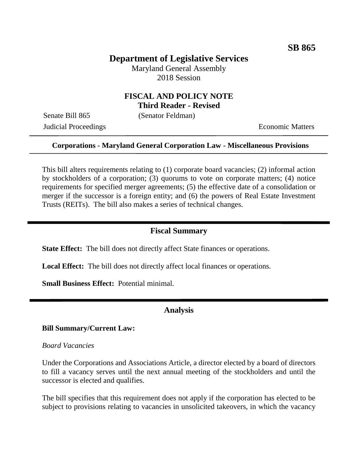# **Department of Legislative Services**

Maryland General Assembly 2018 Session

## **FISCAL AND POLICY NOTE Third Reader - Revised**

Senate Bill 865 (Senator Feldman)

**Judicial Proceedings** Economic Matters

## **Corporations - Maryland General Corporation Law - Miscellaneous Provisions**

This bill alters requirements relating to (1) corporate board vacancies; (2) informal action by stockholders of a corporation; (3) quorums to vote on corporate matters; (4) notice requirements for specified merger agreements; (5) the effective date of a consolidation or merger if the successor is a foreign entity; and (6) the powers of Real Estate Investment Trusts (REITs). The bill also makes a series of technical changes.

## **Fiscal Summary**

**State Effect:** The bill does not directly affect State finances or operations.

**Local Effect:** The bill does not directly affect local finances or operations.

**Small Business Effect:** Potential minimal.

## **Analysis**

#### **Bill Summary/Current Law:**

#### *Board Vacancies*

Under the Corporations and Associations Article, a director elected by a board of directors to fill a vacancy serves until the next annual meeting of the stockholders and until the successor is elected and qualifies.

The bill specifies that this requirement does not apply if the corporation has elected to be subject to provisions relating to vacancies in unsolicited takeovers, in which the vacancy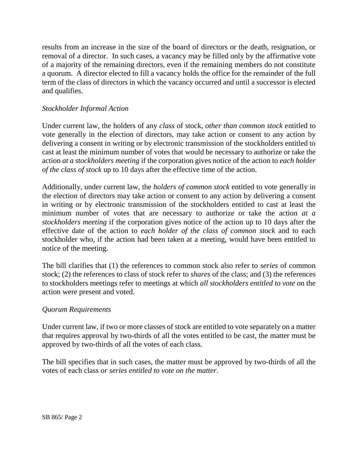results from an increase in the size of the board of directors or the death, resignation, or removal of a director. In such cases, a vacancy may be filled only by the affirmative vote of a majority of the remaining directors, even if the remaining members do not constitute a quorum. A director elected to fill a vacancy holds the office for the remainder of the full term of the class of directors in which the vacancy occurred and until a successor is elected and qualifies.

## *Stockholder Informal Action*

Under current law, the holders of any *class* of stock, *other than common stock* entitled to vote generally in the election of directors, may take action or consent to any action by delivering a consent in writing or by electronic transmission of the stockholders entitled to cast at least the minimum number of votes that would be necessary to authorize or take the action *at a stockholders meeting* if the corporation gives notice of the action to *each holder of the class of stock* up to 10 days after the effective time of the action.

Additionally, under current law, the *holders of common stock* entitled to vote generally in the election of directors may take action or consent to any action by delivering a consent in writing or by electronic transmission of the stockholders entitled to cast at least the minimum number of votes that are necessary to authorize or take the action *at a stockholders meeting* if the corporation gives notice of the action up to 10 days after the effective date of the action to *each holder of the class of common stock* and to each stockholder who, if the action had been taken at a meeting, would have been entitled to notice of the meeting.

The bill clarifies that (1) the references to common stock also refer to *series* of common stock; (2) the references to class of stock refer to *shares* of the class; and (3) the references to stockholders meetings refer to meetings at which *all stockholders entitled to vote* on the action were present and voted.

## *Quorum Requirements*

Under current law, if two or more classes of stock are entitled to vote separately on a matter that requires approval by two-thirds of all the votes entitled to be cast, the matter must be approved by two-thirds of all the votes of each class.

The bill specifies that in such cases, the matter must be approved by two-thirds of all the votes of each class *or series entitled to vote on the matter*.